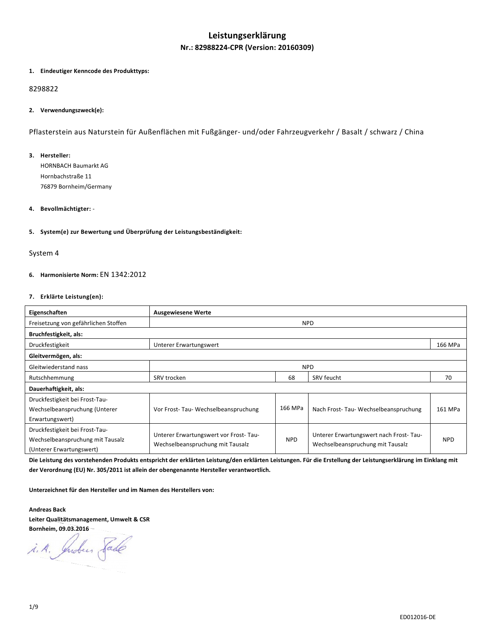# **Leistungserklärung Nr.: 82988224-CPR (Version: 20160309)**

### **1. Eindeutiger Kenncode des Produkttyps:**

# 8298822

## **2. Verwendungszweck(e):**

Pflasterstein aus Naturstein für Außenflächen mit Fußgänger- und/oder Fahrzeugverkehr / Basalt / schwarz / China

#### **3. Hersteller:**

HORNBACH Baumarkt AG Hornbachstraße 11 76879 Bornheim/Germany

## **4. Bevollmächtigter:** -

## **5. System(e) zur Bewertung und Überprüfung der Leistungsbeständigkeit:**

### System 4

## **6. Harmonisierte Norm:** EN 1342:2012

#### **7. Erklärte Leistung(en):**

| Eigenschaften                                                                                  | <b>Ausgewiesene Werte</b>                                                 |            |                                                                            |            |
|------------------------------------------------------------------------------------------------|---------------------------------------------------------------------------|------------|----------------------------------------------------------------------------|------------|
| Freisetzung von gefährlichen Stoffen                                                           |                                                                           |            | <b>NPD</b>                                                                 |            |
| Bruchfestigkeit, als:                                                                          |                                                                           |            |                                                                            |            |
| Druckfestigkeit                                                                                | Unterer Erwartungswert                                                    |            |                                                                            | 166 MPa    |
| Gleitvermögen, als:                                                                            |                                                                           |            |                                                                            |            |
| Gleitwiederstand nass                                                                          | <b>NPD</b>                                                                |            |                                                                            |            |
| Rutschhemmung                                                                                  | SRV trocken                                                               | 68         | SRV feucht                                                                 | 70         |
| Dauerhaftigkeit, als:                                                                          |                                                                           |            |                                                                            |            |
| Druckfestigkeit bei Frost-Tau-<br>Wechselbeanspruchung (Unterer<br>Erwartungswert)             | Vor Frost-Tau-Wechselbeanspruchung                                        | 166 MPa    | Nach Frost-Tau-Wechselbeanspruchung                                        | 161 MPa    |
| Druckfestigkeit bei Frost-Tau-<br>Wechselbeanspruchung mit Tausalz<br>(Unterer Erwartungswert) | Unterer Erwartungswert vor Frost-Tau-<br>Wechselbeanspruchung mit Tausalz | <b>NPD</b> | Unterer Erwartungswert nach Frost-Tau-<br>Wechselbeanspruchung mit Tausalz | <b>NPD</b> |

**Die Leistung des vorstehenden Produkts entspricht der erklärten Leistung/den erklärten Leistungen. Für die Erstellung der Leistungserklärung im Einklang mit der Verordnung (EU) Nr. 305/2011 ist allein der obengenannte Hersteller verantwortlich.** 

**Unterzeichnet für den Hersteller und im Namen des Herstellers von:** 

**Andreas Back Leiter Qualitätsmanagement, Umwelt & CSR Bornheim, 09.03.2016** 

i.A. Indees Sade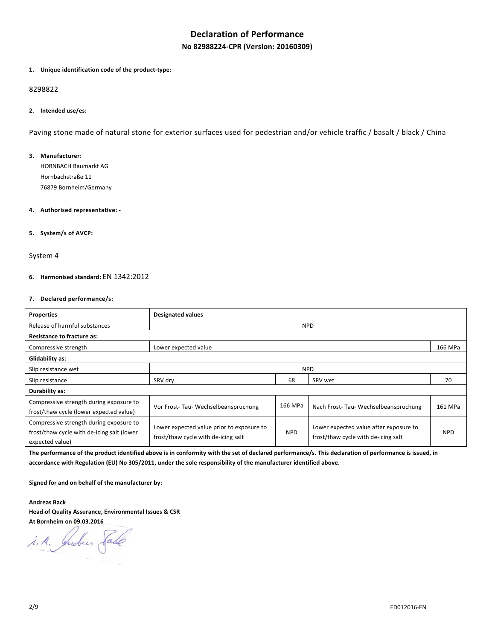# **Declaration of Performance**

**No 82988224-CPR (Version: 20160309)**

#### **1. Unique identification code of the product-type:**

#### 8298822

#### **2. Intended use/es:**

Paving stone made of natural stone for exterior surfaces used for pedestrian and/or vehicle traffic / basalt / black / China

### **3. Manufacturer:**

HORNBACH Baumarkt AG Hornbachstraße 11 76879 Bornheim/Germany

### **4. Authorised representative: -**

## **5. System/s of AVCP:**

#### System 4

## **6. Harmonised standard:** EN 1342:2012

### **7. Declared performance/s:**

| <b>Properties</b>                                                                                        | <b>Designated values</b>                                                         |            |                                                                               |            |
|----------------------------------------------------------------------------------------------------------|----------------------------------------------------------------------------------|------------|-------------------------------------------------------------------------------|------------|
| Release of harmful substances                                                                            |                                                                                  |            | <b>NPD</b>                                                                    |            |
| <b>Resistance to fracture as:</b>                                                                        |                                                                                  |            |                                                                               |            |
| Compressive strength                                                                                     | Lower expected value                                                             |            |                                                                               |            |
| Glidability as:                                                                                          |                                                                                  |            |                                                                               |            |
| Slip resistance wet                                                                                      | <b>NPD</b>                                                                       |            |                                                                               |            |
| Slip resistance                                                                                          | SRV dry                                                                          | 68         | SRV wet                                                                       | 70         |
| Durability as:                                                                                           |                                                                                  |            |                                                                               |            |
| Compressive strength during exposure to<br>frost/thaw cycle (lower expected value)                       | Vor Frost-Tau-Wechselbeanspruchung                                               | 166 MPa    | Nach Frost-Tau-Wechselbeanspruchung                                           | 161 MPa    |
| Compressive strength during exposure to<br>frost/thaw cycle with de-icing salt (lower<br>expected value) | Lower expected value prior to exposure to<br>frost/thaw cycle with de-icing salt | <b>NPD</b> | Lower expected value after exposure to<br>frost/thaw cycle with de-icing salt | <b>NPD</b> |

**The performance of the product identified above is in conformity with the set of declared performance/s. This declaration of performance is issued, in accordance with Regulation (EU) No 305/2011, under the sole responsibility of the manufacturer identified above.** 

**Signed for and on behalf of the manufacturer by:** 

**Andreas Back Head of Quality Assurance, Environmental Issues & CSR At Bornheim on 09.03.2016** 

i. A. Indees Sade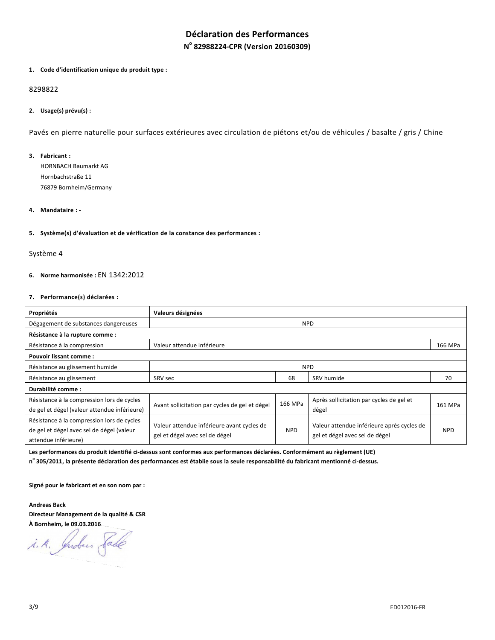# **Déclaration des Performances N o 82988224-CPR (Version 20160309)**

#### **1. Code d'identification unique du produit type :**

# 8298822

## **2. Usage(s) prévu(s) :**

Pavés en pierre naturelle pour surfaces extérieures avec circulation de piétons et/ou de véhicules / basalte / gris / Chine

## **3. Fabricant :**

HORNBACH Baumarkt AG Hornbachstraße 11 76879 Bornheim/Germany

### **4. Mandataire : -**

#### **5. Système(s) d'évaluation et de vérification de la constance des performances :**

### Système 4

## **6. Norme harmonisée :** EN 1342:2012

## **7. Performance(s) déclarées :**

| Propriétés                                                                                                      | Valeurs désignées                                                            |            |                                                                              |            |
|-----------------------------------------------------------------------------------------------------------------|------------------------------------------------------------------------------|------------|------------------------------------------------------------------------------|------------|
| Dégagement de substances dangereuses                                                                            | <b>NPD</b>                                                                   |            |                                                                              |            |
| Résistance à la rupture comme :                                                                                 |                                                                              |            |                                                                              |            |
| Résistance à la compression                                                                                     | Valeur attendue inférieure                                                   |            |                                                                              |            |
| <b>Pouvoir lissant comme:</b>                                                                                   |                                                                              |            |                                                                              |            |
| Résistance au glissement humide                                                                                 | <b>NPD</b>                                                                   |            |                                                                              |            |
| Résistance au glissement                                                                                        | SRV sec                                                                      | 68         | SRV humide                                                                   | 70         |
| Durabilité comme :                                                                                              |                                                                              |            |                                                                              |            |
| Résistance à la compression lors de cycles<br>de gel et dégel (valeur attendue inférieure)                      | Avant sollicitation par cycles de gel et dégel                               | 166 MPa    | Après sollicitation par cycles de gel et<br>dégel                            | 161 MPa    |
| Résistance à la compression lors de cycles<br>de gel et dégel avec sel de dégel (valeur<br>attendue inférieure) | Valeur attendue inférieure avant cycles de<br>gel et dégel avec sel de dégel | <b>NPD</b> | Valeur attendue inférieure après cycles de<br>gel et dégel avec sel de dégel | <b>NPD</b> |

**Les performances du produit identifié ci-dessus sont conformes aux performances déclarées. Conformément au règlement (UE)** 

**n o 305/2011, la présente déclaration des performances est établie sous la seule responsabilité du fabricant mentionné ci-dessus.** 

**Signé pour le fabricant et en son nom par :** 

**Andreas Back Directeur Management de la qualité & CSR À Bornheim, le 09.03.2016**

i. A. Juden Sade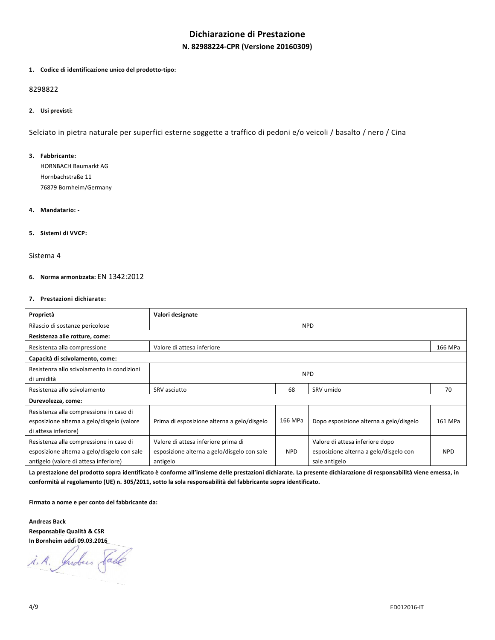# **Dichiarazione di Prestazione N. 82988224-CPR (Versione 20160309)**

#### **1. Codice di identificazione unico del prodotto-tipo:**

#### 8298822

## **2. Usi previsti:**

Selciato in pietra naturale per superfici esterne soggette a traffico di pedoni e/o veicoli / basalto / nero / Cina

## **3. Fabbricante:**

HORNBACH Baumarkt AG Hornbachstraße 11 76879 Bornheim/Germany

## **4. Mandatario: -**

#### **5. Sistemi di VVCP:**

#### Sistema 4

#### **6. Norma armonizzata:** EN 1342:2012

### **7. Prestazioni dichiarate:**

| Proprietà                                                                                                                       | Valori designate                                                                               |            |                                                                                            |            |
|---------------------------------------------------------------------------------------------------------------------------------|------------------------------------------------------------------------------------------------|------------|--------------------------------------------------------------------------------------------|------------|
| Rilascio di sostanze pericolose                                                                                                 | <b>NPD</b>                                                                                     |            |                                                                                            |            |
| Resistenza alle rotture, come:                                                                                                  |                                                                                                |            |                                                                                            |            |
| Resistenza alla compressione                                                                                                    | Valore di attesa inferiore                                                                     |            |                                                                                            |            |
| Capacità di scivolamento, come:                                                                                                 |                                                                                                |            |                                                                                            |            |
| Resistenza allo scivolamento in condizioni<br>di umidità                                                                        | <b>NPD</b>                                                                                     |            |                                                                                            |            |
| Resistenza allo scivolamento                                                                                                    | SRV asciutto                                                                                   | 68         | SRV umido                                                                                  | 70         |
| Durevolezza, come:                                                                                                              |                                                                                                |            |                                                                                            |            |
| Resistenza alla compressione in caso di<br>esposizione alterna a gelo/disgelo (valore<br>di attesa inferiore)                   | Prima di esposizione alterna a gelo/disgelo                                                    | 166 MPa    | Dopo esposizione alterna a gelo/disgelo                                                    | 161 MPa    |
| Resistenza alla compressione in caso di<br>esposizione alterna a gelo/disgelo con sale<br>antigelo (valore di attesa inferiore) | Valore di attesa inferiore prima di<br>esposizione alterna a gelo/disgelo con sale<br>antigelo | <b>NPD</b> | Valore di attesa inferiore dopo<br>esposizione alterna a gelo/disgelo con<br>sale antigelo | <b>NPD</b> |

**La prestazione del prodotto sopra identificato è conforme all'insieme delle prestazioni dichiarate. La presente dichiarazione di responsabilità viene emessa, in conformità al regolamento (UE) n. 305/2011, sotto la sola responsabilità del fabbricante sopra identificato.** 

**Firmato a nome e per conto del fabbricante da:** 

**Andreas Back Responsabile Qualità & CSR In Bornheim addì 09.03.2016**

i. A. Indees Sade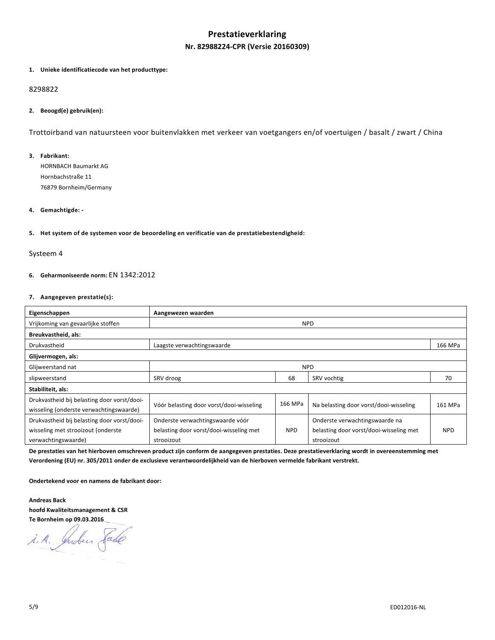# **Prestatieverklaring Nr. 82988224-CPR (Versie 20160309)**

#### **1. Unieke identificatiecode van het producttype:**

## 8298822

## **2. Beoogd(e) gebruik(en):**

Trottoirband van natuursteen voor buitenvlakken met verkeer van voetgangers en/of voertuigen / basalt / zwart / China

### **3. Fabrikant:**

HORNBACH Baumarkt AG Hornbachstraße 11 76879 Bornheim/Germany

### **4. Gemachtigde: -**

#### **5. Het system of de systemen voor de beoordeling en verificatie van de prestatiebestendigheid:**

#### Systeem 4

### **6. Geharmoniseerde norm:** EN 1342:2012

## **7. Aangegeven prestatie(s):**

| Eigenschappen                                                                          | Aangewezen waarden                       |         |                                         |            |
|----------------------------------------------------------------------------------------|------------------------------------------|---------|-----------------------------------------|------------|
| Vrijkoming van gevaarlijke stoffen                                                     | <b>NPD</b>                               |         |                                         |            |
| Breukvastheid, als:                                                                    |                                          |         |                                         |            |
| Drukvastheid                                                                           | Laagste verwachtingswaarde               |         |                                         |            |
| Glijvermogen, als:                                                                     |                                          |         |                                         |            |
| Glijweerstand nat                                                                      | <b>NPD</b>                               |         |                                         |            |
| slipweerstand                                                                          | SRV droog<br>68<br>SRV vochtig           |         |                                         | 70         |
| Stabiliteit, als:                                                                      |                                          |         |                                         |            |
| Drukvastheid bij belasting door vorst/dooi-<br>wisseling (onderste verwachtingswaarde) | Vóór belasting door vorst/dooi-wisseling | 166 MPa | Na belasting door vorst/dooi-wisseling  | 161 MPa    |
| Drukvastheid bij belasting door vorst/dooi-                                            | Onderste verwachtingswaarde vóór         |         | Onderste verwachtingswaarde na          |            |
| wisseling met strooizout (onderste                                                     | belasting door vorst/dooi-wisseling met  | NPD.    | belasting door vorst/dooi-wisseling met | <b>NPD</b> |
| verwachtingswaarde)                                                                    | strooizout                               |         | strooizout                              |            |

**De prestaties van het hierboven omschreven product zijn conform de aangegeven prestaties. Deze prestatieverklaring wordt in overeenstemming met Verordening (EU) nr. 305/2011 onder de exclusieve verantwoordelijkheid van de hierboven vermelde fabrikant verstrekt.** 

**Ondertekend voor en namens de fabrikant door:** 

**Andreas Back hoofd Kwaliteitsmanagement & CSR Te Bornheim op 09.03.2016**

i. A. Juden Sade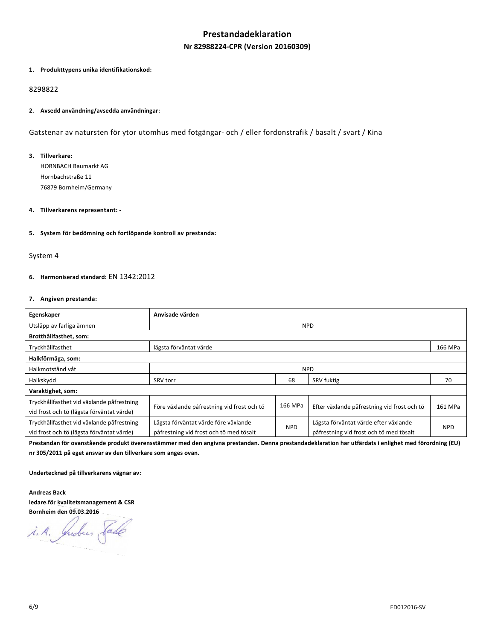# **Prestandadeklaration Nr 82988224-CPR (Version 20160309)**

#### **1. Produkttypens unika identifikationskod:**

## 8298822

### **2. Avsedd användning/avsedda användningar:**

Gatstenar av natursten för ytor utomhus med fotgängar- och / eller fordonstrafik / basalt / svart / Kina

### **3. Tillverkare:**

HORNBACH Baumarkt AG Hornbachstraße 11 76879 Bornheim/Germany

## **4. Tillverkarens representant: -**

#### **5. System för bedömning och fortlöpande kontroll av prestanda:**

#### System 4

## **6. Harmoniserad standard:** EN 1342:2012

#### **7. Angiven prestanda:**

| Egenskaper                                                                             | Anvisade värden                                                                 |            |                                                                                  |            |
|----------------------------------------------------------------------------------------|---------------------------------------------------------------------------------|------------|----------------------------------------------------------------------------------|------------|
| Utsläpp av farliga ämnen                                                               | <b>NPD</b>                                                                      |            |                                                                                  |            |
| Brotthållfasthet, som:                                                                 |                                                                                 |            |                                                                                  |            |
| Tryckhållfasthet                                                                       | lägsta förväntat värde                                                          |            |                                                                                  |            |
| Halkförmåga, som:                                                                      |                                                                                 |            |                                                                                  |            |
| Halkmotstånd våt                                                                       | <b>NPD</b>                                                                      |            |                                                                                  |            |
| Halkskydd                                                                              | <b>SRV</b> torr                                                                 | 68         | SRV fuktig                                                                       | 70         |
| Varaktighet, som:                                                                      |                                                                                 |            |                                                                                  |            |
| Tryckhållfasthet vid växlande påfrestning<br>vid frost och tö (lägsta förväntat värde) | Före växlande påfrestning vid frost och tö                                      | 166 MPa    | Efter växlande påfrestning vid frost och tö                                      | 161 MPa    |
| Tryckhållfasthet vid växlande påfrestning<br>vid frost och tö (lägsta förväntat värde) | Lägsta förväntat värde före växlande<br>påfrestning vid frost och tö med tösalt | <b>NPD</b> | Lägsta förväntat värde efter växlande<br>påfrestning vid frost och tö med tösalt | <b>NPD</b> |

**Prestandan för ovanstående produkt överensstämmer med den angivna prestandan. Denna prestandadeklaration har utfärdats i enlighet med förordning (EU) nr 305/2011 på eget ansvar av den tillverkare som anges ovan.** 

**Undertecknad på tillverkarens vägnar av:** 

**Andreas Back ledare för kvalitetsmanagement & CSR Bornheim den 09.03.2016**

i.A. Indees fade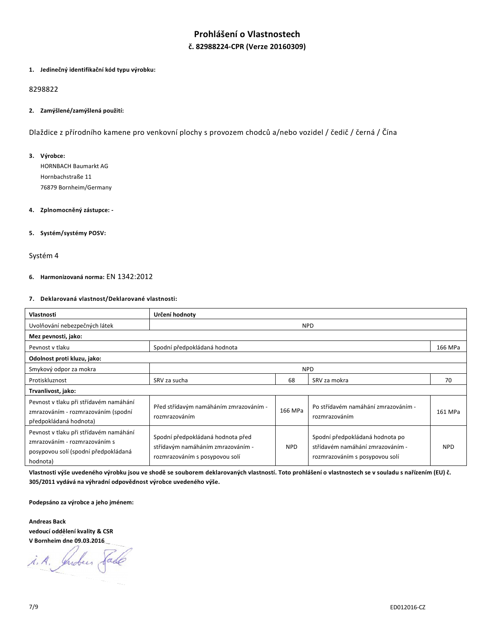# **Prohlášení o Vlastnostech č. 82988224-CPR (Verze 20160309)**

#### **1. Jedinečný identifikační kód typu výrobku:**

# 8298822

## **2. Zamýšlené/zamýšlená použití:**

Dlaždice z přírodního kamene pro venkovní plochy s provozem chodců a/nebo vozidel / čedič / černá / Čína

## **3. Výrobce:**

HORNBACH Baumarkt AG Hornbachstraße 11 76879 Bornheim/Germany

#### **4. Zplnomocněný zástupce: -**

## **5. Systém/systémy POSV:**

#### Systém 4

## **6. Harmonizovaná norma:** EN 1342:2012

## **7. Deklarovaná vlastnost/Deklarované vlastnosti:**

| Vlastnosti                                                                                                                  | Určení hodnoty                                                                                           |            |                                                                                                       |            |
|-----------------------------------------------------------------------------------------------------------------------------|----------------------------------------------------------------------------------------------------------|------------|-------------------------------------------------------------------------------------------------------|------------|
| Uvolňování nebezpečných látek                                                                                               | <b>NPD</b>                                                                                               |            |                                                                                                       |            |
| Mez pevnosti, jako:                                                                                                         |                                                                                                          |            |                                                                                                       |            |
| Pevnost v tlaku                                                                                                             | Spodní předpokládaná hodnota                                                                             |            |                                                                                                       | 166 MPa    |
| Odolnost proti kluzu, jako:                                                                                                 |                                                                                                          |            |                                                                                                       |            |
| Smykový odpor za mokra                                                                                                      | <b>NPD</b>                                                                                               |            |                                                                                                       |            |
| Protiskluznost                                                                                                              | SRV za sucha                                                                                             | 68         | SRV za mokra                                                                                          | 70         |
| Trvanlivost, jako:                                                                                                          |                                                                                                          |            |                                                                                                       |            |
| Pevnost v tlaku při střídavém namáhání<br>zmrazováním - rozmrazováním (spodní<br>předpokládaná hodnota)                     | Před střídavým namáháním zmrazováním -<br>rozmrazováním                                                  | 166 MPa    | Po střídavém namáhání zmrazováním -<br>rozmrazováním                                                  | 161 MPa    |
| Pevnost v tlaku při střídavém namáhání<br>zmrazováním - rozmrazováním s<br>posypovou solí (spodní předpokládaná<br>hodnota) | Spodní předpokládaná hodnota před<br>střídavým namáháním zmrazováním -<br>rozmrazováním s posypovou solí | <b>NPD</b> | Spodní předpokládaná hodnota po<br>střídavém namáhání zmrazováním -<br>rozmrazováním s posypovou solí | <b>NPD</b> |

**Vlastnosti výše uvedeného výrobku jsou ve shodě se souborem deklarovaných vlastností. Toto prohlášení o vlastnostech se v souladu s nařízením (EU) č. 305/2011 vydává na výhradní odpovědnost výrobce uvedeného výše.** 

**Podepsáno za výrobce a jeho jménem:** 

**Andreas Back vedoucí oddělení kvality & CSR V Bornheim dne 09.03.2016** 

i. A. Indees Sade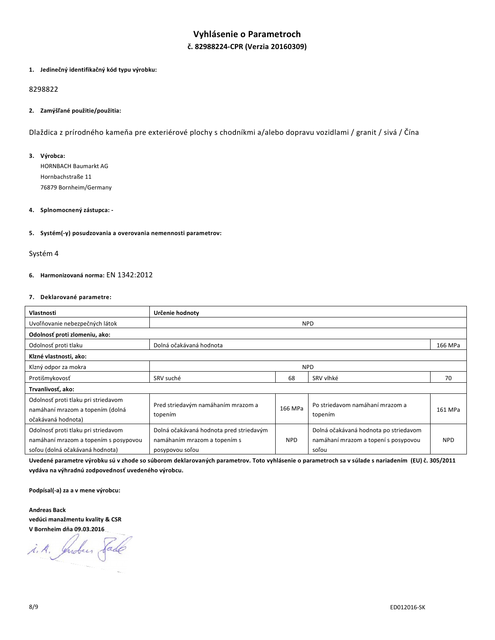# **Vyhlásenie o Parametroch č. 82988224-CPR (Verzia 20160309)**

#### **1. Jedinečný identifikačný kód typu výrobku:**

# 8298822

## **2. Zamýšľané použitie/použitia:**

Dlaždica z prírodného kameňa pre exteriérové plochy s chodníkmi a/alebo dopravu vozidlami / granit / sivá / Čína

## **3. Výrobca:**

HORNBACH Baumarkt AG Hornbachstraße 11 76879 Bornheim/Germany

## **4. Splnomocnený zástupca: -**

## **5. Systém(-y) posudzovania a overovania nemennosti parametrov:**

#### Systém 4

### **6. Harmonizovaná norma:** EN 1342:2012

## **7. Deklarované parametre:**

| Vlastnosti                                                                                                      | Určenie hodnoty                                                                            |            |                                                                                        |            |
|-----------------------------------------------------------------------------------------------------------------|--------------------------------------------------------------------------------------------|------------|----------------------------------------------------------------------------------------|------------|
| Uvoľňovanie nebezpečných látok                                                                                  |                                                                                            |            | <b>NPD</b>                                                                             |            |
| Odolnosť proti zlomeniu, ako:                                                                                   |                                                                                            |            |                                                                                        |            |
| Odolnosť proti tlaku                                                                                            | Dolná očakávaná hodnota                                                                    |            |                                                                                        | 166 MPa    |
| Klzné vlastnosti, ako:                                                                                          |                                                                                            |            |                                                                                        |            |
| Klzný odpor za mokra                                                                                            | <b>NPD</b>                                                                                 |            |                                                                                        |            |
| Protišmykovosť                                                                                                  | SRV suché                                                                                  | 68         | SRV vlhké                                                                              | 70         |
| Trvanlivosť, ako:                                                                                               |                                                                                            |            |                                                                                        |            |
| Odolnosť proti tlaku pri striedavom<br>namáhaní mrazom a topením (dolná<br>očakávaná hodnota)                   | Pred striedavým namáhaním mrazom a<br>topením                                              | 166 MPa    | Po striedavom namáhaní mrazom a<br>topením                                             | 161 MPa    |
| Odolnosť proti tlaku pri striedavom<br>namáhaní mrazom a topením s posypovou<br>soľou (dolná očakávaná hodnota) | Dolná očakávaná hodnota pred striedavým<br>namáhaním mrazom a topením s<br>posypovou soľou | <b>NPD</b> | Dolná očakávaná hodnota po striedavom<br>namáhaní mrazom a topení s posypovou<br>soľou | <b>NPD</b> |

**Uvedené parametre výrobku sú v zhode so súborom deklarovaných parametrov. Toto vyhlásenie o parametroch sa v súlade s nariadením (EU) č. 305/2011 vydáva na výhradnú zodpovednosť uvedeného výrobcu.** 

**Podpísal(-a) za a v mene výrobcu:** 

**Andreas Back vedúci manažmentu kvality & CSR V Bornheim dňa 09.03.2016**

Indeer fade  $\mathcal{A}, \mathcal{A},$